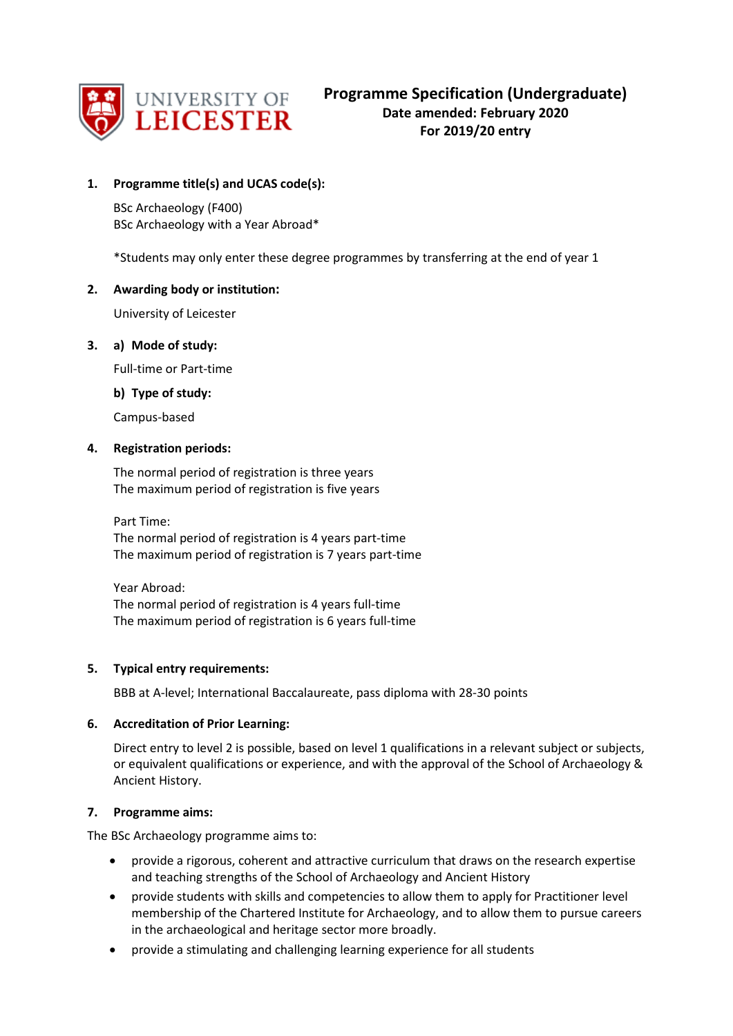

## **1. Programme title(s) and UCAS code(s):**

BSc Archaeology (F400) BSc Archaeology with a Year Abroad\*

\*Students may only enter these degree programmes by transferring at the end of year 1

### **2. Awarding body or institution:**

University of Leicester

### **3. a) Mode of study:**

Full-time or Part-time

### **b) Type of study:**

Campus-based

#### **4. Registration periods:**

The normal period of registration is three years The maximum period of registration is five years

Part Time: The normal period of registration is 4 years part-time The maximum period of registration is 7 years part-time

Year Abroad: The normal period of registration is 4 years full-time The maximum period of registration is 6 years full-time

#### **5. Typical entry requirements:**

BBB at A-level; International Baccalaureate, pass diploma with 28-30 points

#### **6. Accreditation of Prior Learning:**

Direct entry to level 2 is possible, based on level 1 qualifications in a relevant subject or subjects, or equivalent qualifications or experience, and with the approval of the School of Archaeology & Ancient History.

#### **7. Programme aims:**

The BSc Archaeology programme aims to:

- provide a rigorous, coherent and attractive curriculum that draws on the research expertise and teaching strengths of the School of Archaeology and Ancient History
- provide students with skills and competencies to allow them to apply for Practitioner level membership of the Chartered Institute for Archaeology, and to allow them to pursue careers in the archaeological and heritage sector more broadly.
- provide a stimulating and challenging learning experience for all students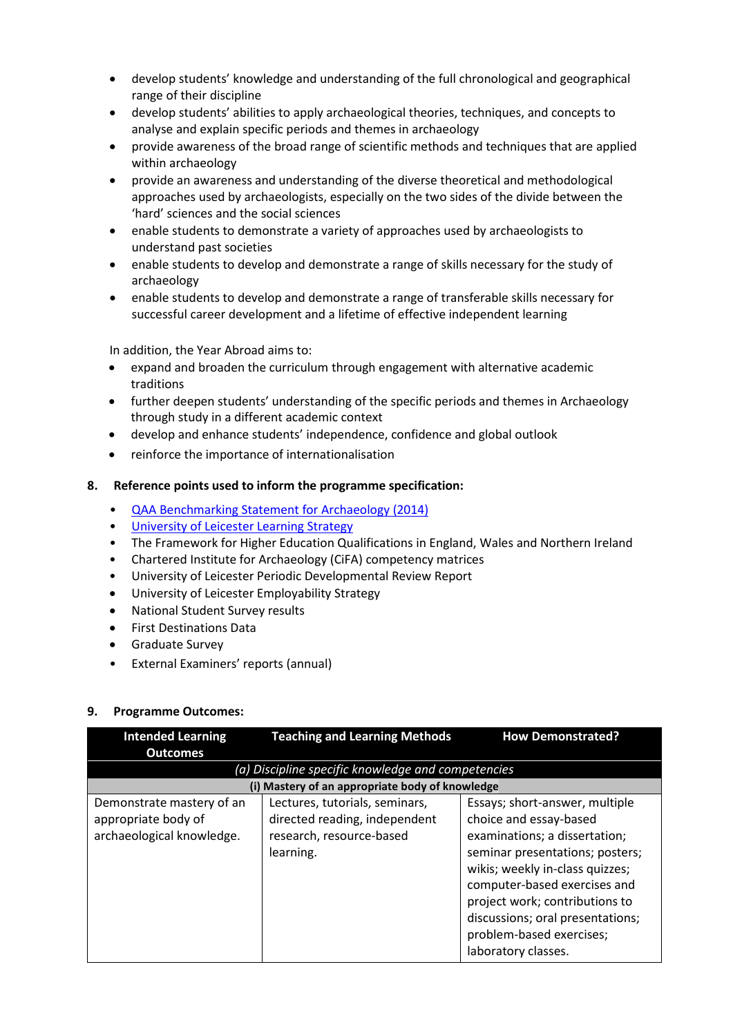- develop students' knowledge and understanding of the full chronological and geographical range of their discipline
- develop students' abilities to apply archaeological theories, techniques, and concepts to analyse and explain specific periods and themes in archaeology
- provide awareness of the broad range of scientific methods and techniques that are applied within archaeology
- provide an awareness and understanding of the diverse theoretical and methodological approaches used by archaeologists, especially on the two sides of the divide between the 'hard' sciences and the social sciences
- enable students to demonstrate a variety of approaches used by archaeologists to understand past societies
- enable students to develop and demonstrate a range of skills necessary for the study of archaeology
- enable students to develop and demonstrate a range of transferable skills necessary for successful career development and a lifetime of effective independent learning

In addition, the Year Abroad aims to:

- expand and broaden the curriculum through engagement with alternative academic traditions
- further deepen students' understanding of the specific periods and themes in Archaeology through study in a different academic context
- develop and enhance students' independence, confidence and global outlook
- reinforce the importance of internationalisation

# **8. Reference points used to inform the programme specification:**

- [QAA Benchmarking Statement for Archaeology \(2014\)](http://www.qaa.ac.uk/en/Publications/Documents/SBS-archaeology-14.pdf)
- [University of Leicester Learning Strategy](http://www2.le.ac.uk/offices/sas2/quality/learnteach)
- The Framework for Higher Education Qualifications in England, Wales and Northern Ireland
- Chartered Institute for Archaeology (CiFA) competency matrices
- University of Leicester Periodic Developmental Review Report
- University of Leicester Employability Strategy
- National Student Survey results
- First Destinations Data
- Graduate Survey
- External Examiners' reports (annual)

#### **9. Programme Outcomes:**

| <b>Intended Learning</b><br><b>Outcomes</b>                                   | <b>Teaching and Learning Methods</b>                                                                     | <b>How Demonstrated?</b>                                                                                                                                                                                                                                                                                                 |  |  |  |  |  |  |  |  |  |
|-------------------------------------------------------------------------------|----------------------------------------------------------------------------------------------------------|--------------------------------------------------------------------------------------------------------------------------------------------------------------------------------------------------------------------------------------------------------------------------------------------------------------------------|--|--|--|--|--|--|--|--|--|
| (a) Discipline specific knowledge and competencies                            |                                                                                                          |                                                                                                                                                                                                                                                                                                                          |  |  |  |  |  |  |  |  |  |
| (i) Mastery of an appropriate body of knowledge                               |                                                                                                          |                                                                                                                                                                                                                                                                                                                          |  |  |  |  |  |  |  |  |  |
| Demonstrate mastery of an<br>appropriate body of<br>archaeological knowledge. | Lectures, tutorials, seminars,<br>directed reading, independent<br>research, resource-based<br>learning. | Essays; short-answer, multiple<br>choice and essay-based<br>examinations; a dissertation;<br>seminar presentations; posters;<br>wikis; weekly in-class quizzes;<br>computer-based exercises and<br>project work; contributions to<br>discussions; oral presentations;<br>problem-based exercises;<br>laboratory classes. |  |  |  |  |  |  |  |  |  |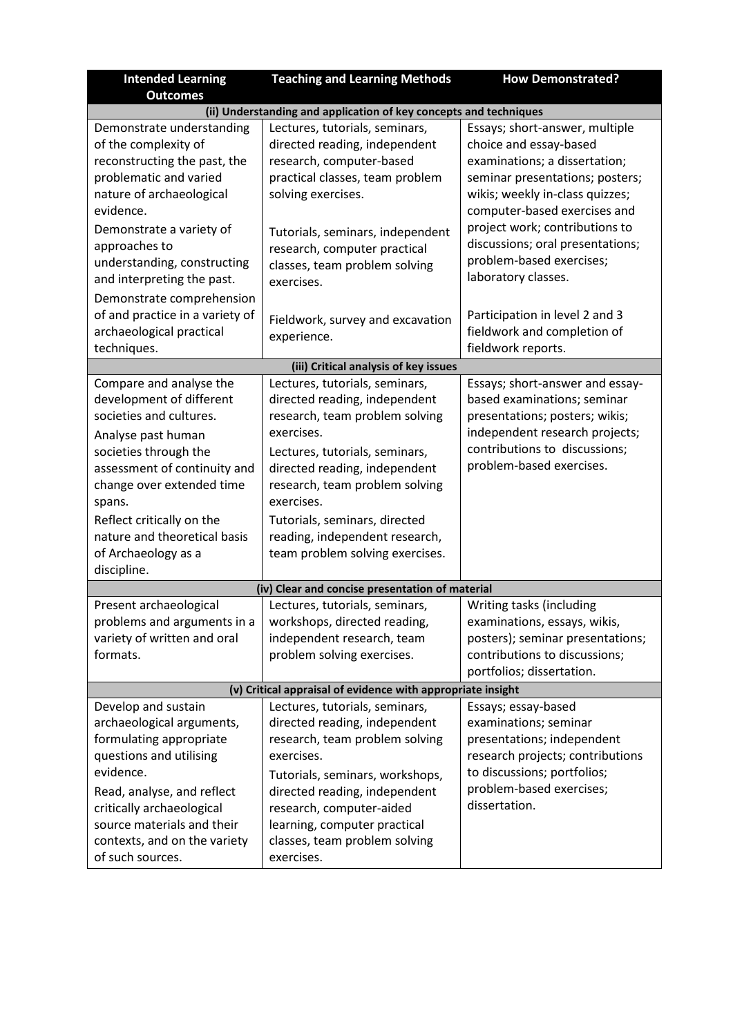| <b>Intended Learning</b>                                   | <b>How Demonstrated?</b>                                                                            |                                                                 |
|------------------------------------------------------------|-----------------------------------------------------------------------------------------------------|-----------------------------------------------------------------|
| <b>Outcomes</b>                                            |                                                                                                     |                                                                 |
| Demonstrate understanding                                  | (ii) Understanding and application of key concepts and techniques<br>Lectures, tutorials, seminars, | Essays; short-answer, multiple                                  |
| of the complexity of                                       | directed reading, independent                                                                       | choice and essay-based                                          |
| reconstructing the past, the                               | research, computer-based                                                                            | examinations; a dissertation;                                   |
| problematic and varied                                     | practical classes, team problem                                                                     | seminar presentations; posters;                                 |
| nature of archaeological                                   | solving exercises.                                                                                  | wikis; weekly in-class quizzes;                                 |
| evidence.                                                  |                                                                                                     | computer-based exercises and                                    |
| Demonstrate a variety of                                   | Tutorials, seminars, independent                                                                    | project work; contributions to                                  |
| approaches to                                              | research, computer practical                                                                        | discussions; oral presentations;                                |
| understanding, constructing                                | classes, team problem solving                                                                       | problem-based exercises;                                        |
| and interpreting the past.                                 | exercises.                                                                                          | laboratory classes.                                             |
| Demonstrate comprehension                                  |                                                                                                     |                                                                 |
| of and practice in a variety of                            | Fieldwork, survey and excavation                                                                    | Participation in level 2 and 3                                  |
| archaeological practical                                   | experience.                                                                                         | fieldwork and completion of                                     |
| techniques.                                                |                                                                                                     | fieldwork reports.                                              |
|                                                            | (iii) Critical analysis of key issues                                                               |                                                                 |
| Compare and analyse the                                    | Lectures, tutorials, seminars,                                                                      | Essays; short-answer and essay-                                 |
| development of different                                   | directed reading, independent                                                                       | based examinations; seminar                                     |
| societies and cultures.                                    | research, team problem solving                                                                      | presentations; posters; wikis;                                  |
| Analyse past human                                         | exercises.                                                                                          | independent research projects;<br>contributions to discussions; |
| societies through the                                      | Lectures, tutorials, seminars,                                                                      | problem-based exercises.                                        |
| assessment of continuity and<br>change over extended time  | directed reading, independent<br>research, team problem solving                                     |                                                                 |
| spans.                                                     | exercises.                                                                                          |                                                                 |
| Reflect critically on the                                  | Tutorials, seminars, directed                                                                       |                                                                 |
| nature and theoretical basis                               | reading, independent research,                                                                      |                                                                 |
| of Archaeology as a                                        | team problem solving exercises.                                                                     |                                                                 |
| discipline.                                                |                                                                                                     |                                                                 |
|                                                            | (iv) Clear and concise presentation of material                                                     |                                                                 |
| Present archaeological                                     | Lectures, tutorials, seminars,                                                                      | Writing tasks (including                                        |
| problems and arguments in a                                | workshops, directed reading,                                                                        | examinations, essays, wikis,                                    |
| variety of written and oral                                | independent research, team                                                                          | posters); seminar presentations;                                |
| formats.                                                   | problem solving exercises.                                                                          | contributions to discussions;                                   |
|                                                            |                                                                                                     | portfolios; dissertation.                                       |
|                                                            | (v) Critical appraisal of evidence with appropriate insight                                         |                                                                 |
| Develop and sustain                                        | Lectures, tutorials, seminars,                                                                      | Essays; essay-based                                             |
| archaeological arguments,                                  | directed reading, independent                                                                       | examinations; seminar                                           |
| formulating appropriate                                    | research, team problem solving                                                                      | presentations; independent                                      |
| questions and utilising<br>evidence.                       |                                                                                                     |                                                                 |
|                                                            | exercises.                                                                                          | research projects; contributions                                |
| Read, analyse, and reflect                                 | Tutorials, seminars, workshops,                                                                     | to discussions; portfolios;                                     |
|                                                            | directed reading, independent                                                                       | problem-based exercises;                                        |
| critically archaeological                                  | research, computer-aided                                                                            | dissertation.                                                   |
| source materials and their<br>contexts, and on the variety | learning, computer practical<br>classes, team problem solving                                       |                                                                 |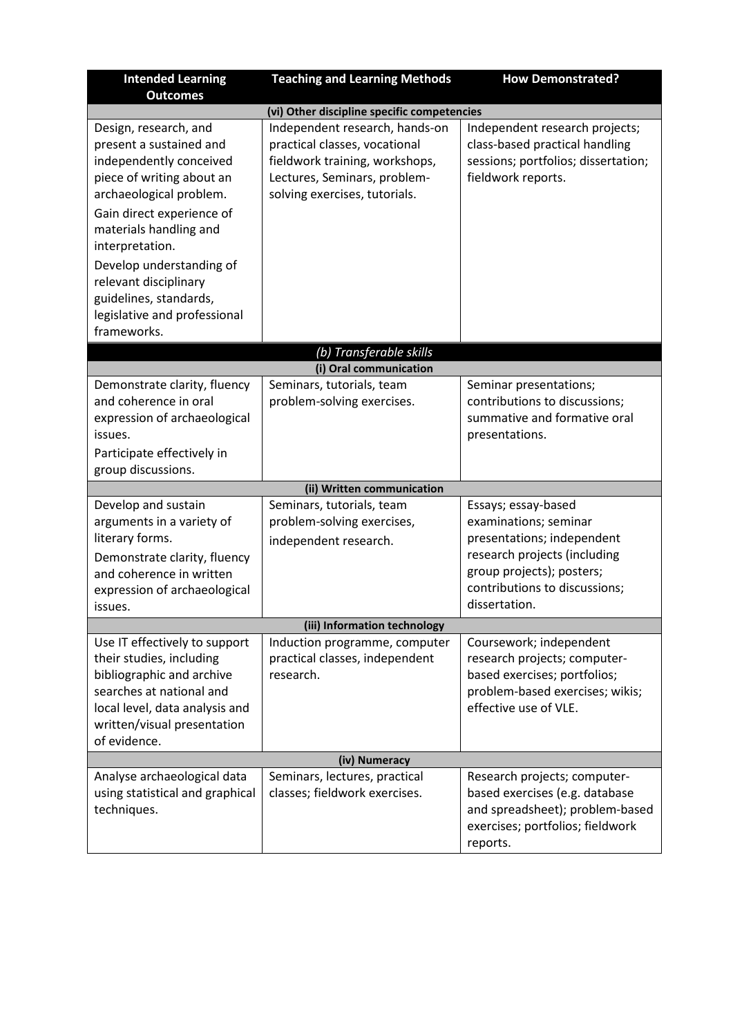| <b>Intended Learning</b><br><b>Outcomes</b>                                                                                                                                                                                                                                                                                                 | <b>Teaching and Learning Methods</b>                                                                                                                               | <b>How Demonstrated?</b>                                                                                                                                                                  |
|---------------------------------------------------------------------------------------------------------------------------------------------------------------------------------------------------------------------------------------------------------------------------------------------------------------------------------------------|--------------------------------------------------------------------------------------------------------------------------------------------------------------------|-------------------------------------------------------------------------------------------------------------------------------------------------------------------------------------------|
|                                                                                                                                                                                                                                                                                                                                             | (vi) Other discipline specific competencies                                                                                                                        |                                                                                                                                                                                           |
| Design, research, and<br>present a sustained and<br>independently conceived<br>piece of writing about an<br>archaeological problem.<br>Gain direct experience of<br>materials handling and<br>interpretation.<br>Develop understanding of<br>relevant disciplinary<br>guidelines, standards,<br>legislative and professional<br>frameworks. | Independent research, hands-on<br>practical classes, vocational<br>fieldwork training, workshops,<br>Lectures, Seminars, problem-<br>solving exercises, tutorials. | Independent research projects;<br>class-based practical handling<br>sessions; portfolios; dissertation;<br>fieldwork reports.                                                             |
|                                                                                                                                                                                                                                                                                                                                             | (b) Transferable skills                                                                                                                                            |                                                                                                                                                                                           |
|                                                                                                                                                                                                                                                                                                                                             | (i) Oral communication                                                                                                                                             |                                                                                                                                                                                           |
| Demonstrate clarity, fluency<br>and coherence in oral<br>expression of archaeological<br>issues.<br>Participate effectively in<br>group discussions.                                                                                                                                                                                        | Seminars, tutorials, team<br>problem-solving exercises.                                                                                                            | Seminar presentations;<br>contributions to discussions;<br>summative and formative oral<br>presentations.                                                                                 |
|                                                                                                                                                                                                                                                                                                                                             | (ii) Written communication                                                                                                                                         |                                                                                                                                                                                           |
| Develop and sustain<br>arguments in a variety of<br>literary forms.<br>Demonstrate clarity, fluency<br>and coherence in written<br>expression of archaeological<br>issues.                                                                                                                                                                  | Seminars, tutorials, team<br>problem-solving exercises,<br>independent research.                                                                                   | Essays; essay-based<br>examinations; seminar<br>presentations; independent<br>research projects (including<br>group projects); posters;<br>contributions to discussions;<br>dissertation. |
|                                                                                                                                                                                                                                                                                                                                             | (iii) Information technology                                                                                                                                       |                                                                                                                                                                                           |
| Use IT effectively to support<br>their studies, including<br>bibliographic and archive<br>searches at national and<br>local level, data analysis and<br>written/visual presentation<br>of evidence.                                                                                                                                         | Induction programme, computer<br>practical classes, independent<br>research.                                                                                       | Coursework; independent<br>research projects; computer-<br>based exercises; portfolios;<br>problem-based exercises; wikis;<br>effective use of VLE.                                       |
|                                                                                                                                                                                                                                                                                                                                             | (iv) Numeracy                                                                                                                                                      |                                                                                                                                                                                           |
| Analyse archaeological data<br>using statistical and graphical<br>techniques.                                                                                                                                                                                                                                                               | Seminars, lectures, practical<br>classes; fieldwork exercises.                                                                                                     | Research projects; computer-<br>based exercises (e.g. database<br>and spreadsheet); problem-based<br>exercises; portfolios; fieldwork<br>reports.                                         |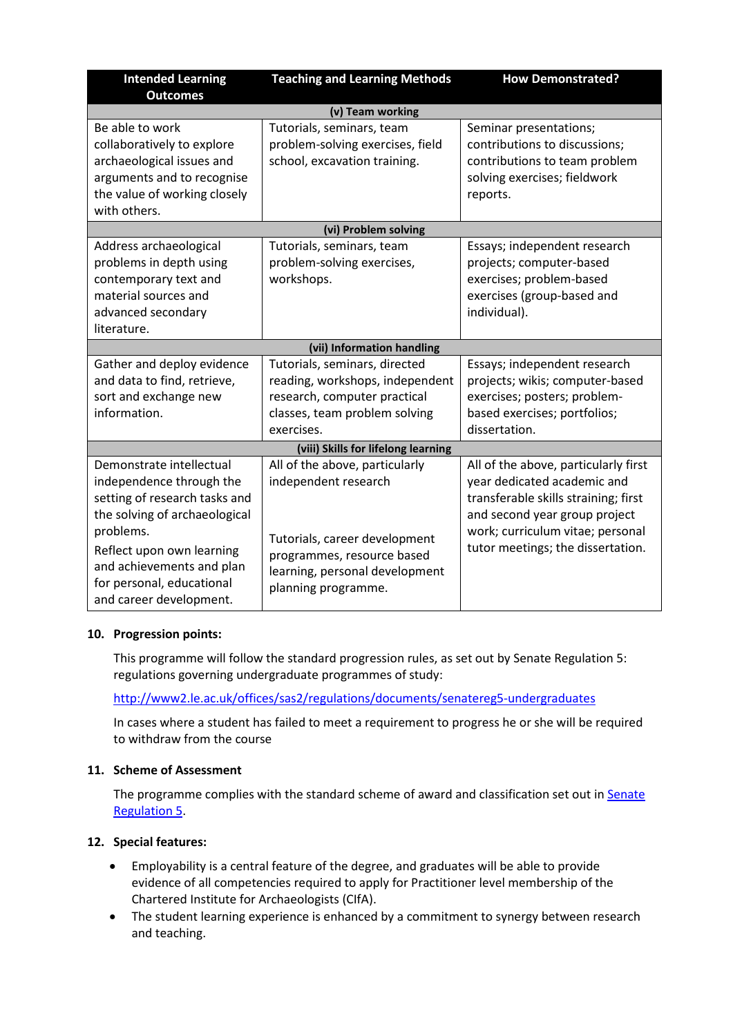| <b>Intended Learning</b><br><b>Outcomes</b>                                                                                                                                                                                                           | <b>How Demonstrated?</b>                                                                                                                                                       |                                                                                                                                                                                                                       |
|-------------------------------------------------------------------------------------------------------------------------------------------------------------------------------------------------------------------------------------------------------|--------------------------------------------------------------------------------------------------------------------------------------------------------------------------------|-----------------------------------------------------------------------------------------------------------------------------------------------------------------------------------------------------------------------|
|                                                                                                                                                                                                                                                       | (v) Team working                                                                                                                                                               |                                                                                                                                                                                                                       |
| Be able to work<br>collaboratively to explore<br>archaeological issues and<br>arguments and to recognise<br>the value of working closely<br>with others.                                                                                              | Tutorials, seminars, team<br>problem-solving exercises, field<br>school, excavation training.                                                                                  | Seminar presentations;<br>contributions to discussions;<br>contributions to team problem<br>solving exercises; fieldwork<br>reports.                                                                                  |
|                                                                                                                                                                                                                                                       | (vi) Problem solving                                                                                                                                                           |                                                                                                                                                                                                                       |
| Address archaeological<br>problems in depth using<br>contemporary text and<br>material sources and<br>advanced secondary<br>literature.                                                                                                               | Tutorials, seminars, team<br>problem-solving exercises,<br>workshops.                                                                                                          | Essays; independent research<br>projects; computer-based<br>exercises; problem-based<br>exercises (group-based and<br>individual).                                                                                    |
|                                                                                                                                                                                                                                                       | (vii) Information handling                                                                                                                                                     |                                                                                                                                                                                                                       |
| Gather and deploy evidence<br>and data to find, retrieve,<br>sort and exchange new<br>information.                                                                                                                                                    | Tutorials, seminars, directed<br>reading, workshops, independent<br>research, computer practical<br>classes, team problem solving<br>exercises.                                | Essays; independent research<br>projects; wikis; computer-based<br>exercises; posters; problem-<br>based exercises; portfolios;<br>dissertation.                                                                      |
|                                                                                                                                                                                                                                                       | (viii) Skills for lifelong learning                                                                                                                                            |                                                                                                                                                                                                                       |
| Demonstrate intellectual<br>independence through the<br>setting of research tasks and<br>the solving of archaeological<br>problems.<br>Reflect upon own learning<br>and achievements and plan<br>for personal, educational<br>and career development. | All of the above, particularly<br>independent research<br>Tutorials, career development<br>programmes, resource based<br>learning, personal development<br>planning programme. | All of the above, particularly first<br>year dedicated academic and<br>transferable skills straining; first<br>and second year group project<br>work; curriculum vitae; personal<br>tutor meetings; the dissertation. |

#### **10. Progression points:**

This programme will follow the standard progression rules, as set out by Senate Regulation 5: regulations governing undergraduate programmes of study:

### <http://www2.le.ac.uk/offices/sas2/regulations/documents/senatereg5-undergraduates>

In cases where a student has failed to meet a requirement to progress he or she will be required to withdraw from the course

#### **11. Scheme of Assessment**

The programme complies with the standard scheme of award and classification set out in Senate [Regulation 5.](http://www2.le.ac.uk/offices/sas2/regulations/documents/senatereg5-undergraduates)

#### **12. Special features:**

- Employability is a central feature of the degree, and graduates will be able to provide evidence of all competencies required to apply for Practitioner level membership of the Chartered Institute for Archaeologists (CIfA).
- The student learning experience is enhanced by a commitment to synergy between research and teaching.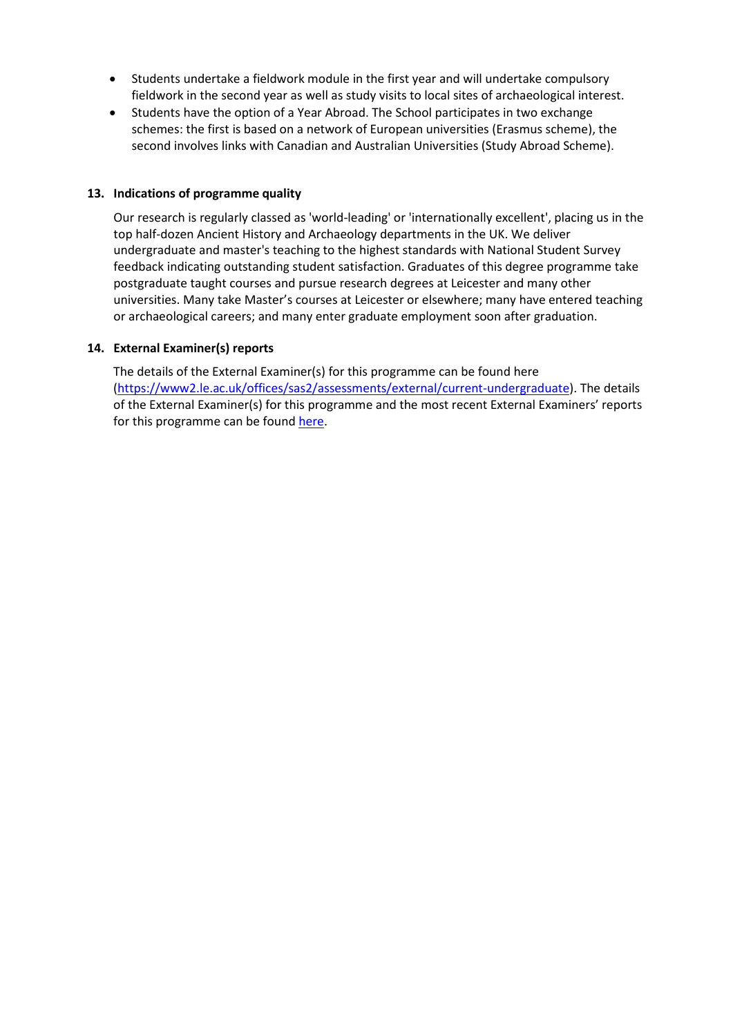- Students undertake a fieldwork module in the first year and will undertake compulsory fieldwork in the second year as well as study visits to local sites of archaeological interest.
- Students have the option of a Year Abroad. The School participates in two exchange schemes: the first is based on a network of European universities (Erasmus scheme), the second involves links with Canadian and Australian Universities (Study Abroad Scheme).

#### **13. Indications of programme quality**

Our research is regularly classed as 'world-leading' or 'internationally excellent', placing us in the top half-dozen Ancient History and Archaeology departments in the UK. We deliver undergraduate and master's teaching to the highest standards with National Student Survey feedback indicating outstanding student satisfaction. Graduates of this degree programme take postgraduate taught courses and pursue research degrees at Leicester and many other universities. Many take Master's courses at Leicester or elsewhere; many have entered teaching or archaeological careers; and many enter graduate employment soon after graduation.

### **14. External Examiner(s) reports**

The details of the External Examiner(s) for this programme can be found here [\(https://www2.le.ac.uk/offices/sas2/assessments/external/current-undergraduate\)](https://www2.le.ac.uk/offices/sas2/assessments/external/current-undergraduate). The details of the External Examiner(s) for this programme and the most recent External Examiners' reports for this programme can be foun[d here.](https://exampapers.le.ac.uk/xmlui/)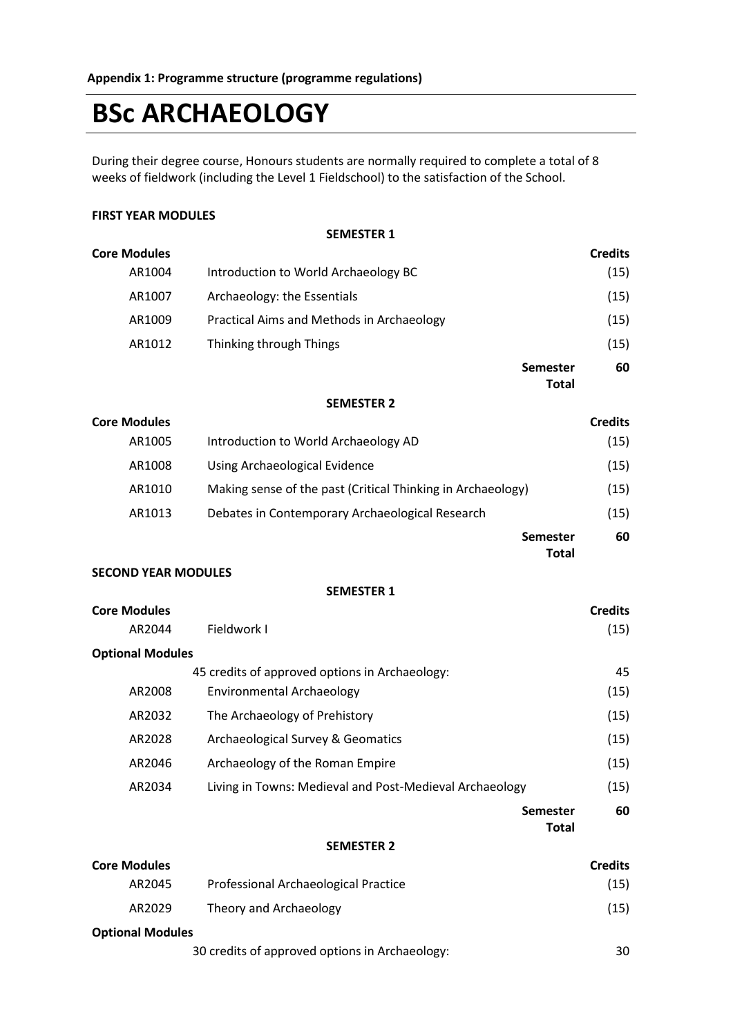# **BSc ARCHAEOLOGY**

During their degree course, Honours students are normally required to complete a total of 8 weeks of fieldwork (including the Level 1 Fieldschool) to the satisfaction of the School.

#### **FIRST YEAR MODULES**

|                               | <b>SEMESTER 1</b>                                                                  |                        |
|-------------------------------|------------------------------------------------------------------------------------|------------------------|
| <b>Core Modules</b>           |                                                                                    | <b>Credits</b>         |
| AR1004                        | Introduction to World Archaeology BC                                               | (15)                   |
| AR1007                        | Archaeology: the Essentials                                                        | (15)                   |
| AR1009                        | Practical Aims and Methods in Archaeology                                          | (15)                   |
| AR1012                        | Thinking through Things                                                            | (15)                   |
|                               | Semester<br><b>Total</b>                                                           | 60                     |
|                               | <b>SEMESTER 2</b>                                                                  |                        |
| <b>Core Modules</b>           |                                                                                    | <b>Credits</b>         |
| AR1005                        | Introduction to World Archaeology AD                                               | (15)                   |
| AR1008                        | Using Archaeological Evidence                                                      | (15)                   |
| AR1010                        | Making sense of the past (Critical Thinking in Archaeology)                        | (15)                   |
| AR1013                        | Debates in Contemporary Archaeological Research                                    | (15)                   |
|                               | <b>Semester</b><br><b>Total</b>                                                    | 60                     |
| <b>SECOND YEAR MODULES</b>    |                                                                                    |                        |
|                               | <b>SEMESTER 1</b>                                                                  |                        |
| <b>Core Modules</b><br>AR2044 | Fieldwork I                                                                        | <b>Credits</b><br>(15) |
| <b>Optional Modules</b>       |                                                                                    |                        |
| AR2008                        | 45 credits of approved options in Archaeology:<br><b>Environmental Archaeology</b> | 45<br>(15)             |
| AR2032                        | The Archaeology of Prehistory                                                      | (15)                   |
| AR2028                        | <b>Archaeological Survey &amp; Geomatics</b>                                       | (15)                   |
| AR2046                        | Archaeology of the Roman Empire                                                    | (15)                   |
| AR2034                        | Living in Towns: Medieval and Post-Medieval Archaeology                            | (15)                   |
|                               | <b>Semester</b><br><b>Total</b>                                                    | 60                     |
|                               | <b>SEMESTER 2</b>                                                                  |                        |
| <b>Core Modules</b>           |                                                                                    | <b>Credits</b>         |
| AR2045                        | Professional Archaeological Practice                                               | (15)                   |
| AR2029                        | Theory and Archaeology                                                             | (15)                   |
| <b>Optional Modules</b>       |                                                                                    |                        |

30 credits of approved options in Archaeology: 30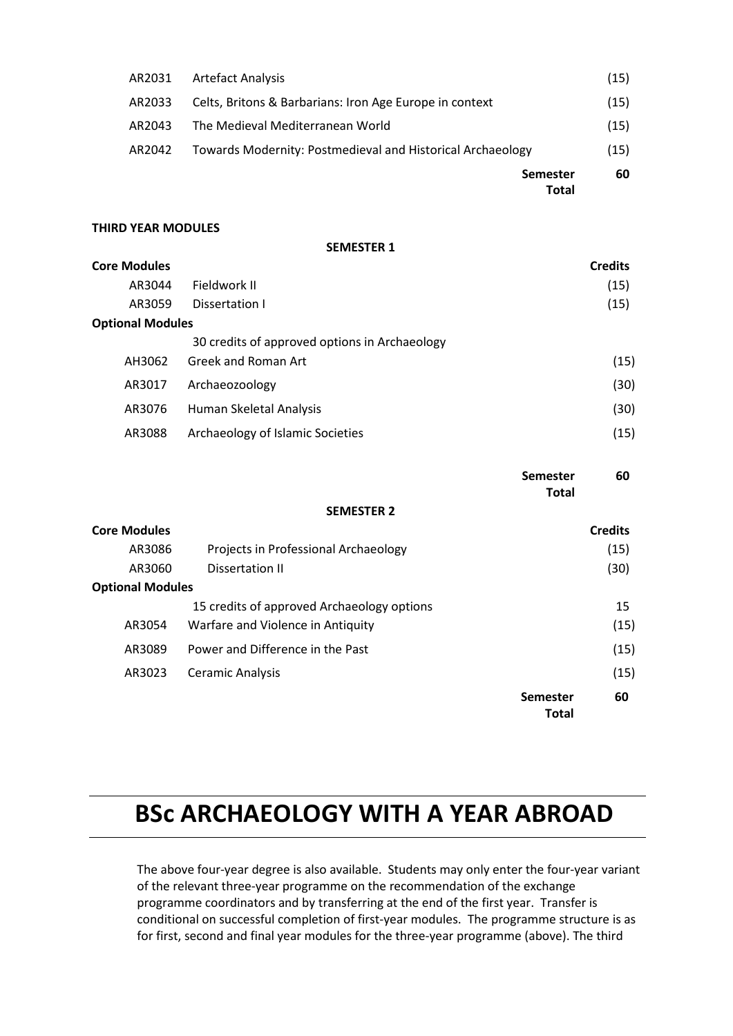|        | <b>Semester</b><br><b>Total</b>                            | 60   |
|--------|------------------------------------------------------------|------|
| AR2042 | Towards Modernity: Postmedieval and Historical Archaeology | (15) |
| AR2043 | The Medieval Mediterranean World                           | (15) |
| AR2033 | Celts, Britons & Barbarians: Iron Age Europe in context    | (15) |
| AR2031 | <b>Artefact Analysis</b>                                   | (15) |
|        |                                                            |      |

#### **THIRD YEAR MODULES**

|--|

| <b>Core Modules</b>     |                                               | <b>Credits</b> |
|-------------------------|-----------------------------------------------|----------------|
| AR3044                  | Fieldwork II                                  | (15)           |
| AR3059                  | Dissertation I                                | (15)           |
| <b>Optional Modules</b> |                                               |                |
|                         | 30 credits of approved options in Archaeology |                |
| AH3062                  | Greek and Roman Art                           | (15)           |
| AR3017                  | Archaeozoology                                | (30)           |
| AR3076                  | Human Skeletal Analysis                       | (30)           |
| AR3088                  | Archaeology of Islamic Societies              | (15)           |
|                         |                                               |                |

|                         |                                            | <b>Semester</b><br><b>Total</b> | 60             |
|-------------------------|--------------------------------------------|---------------------------------|----------------|
|                         | <b>SEMESTER 2</b>                          |                                 |                |
| <b>Core Modules</b>     |                                            |                                 | <b>Credits</b> |
| AR3086                  | Projects in Professional Archaeology       |                                 | (15)           |
| AR3060                  | Dissertation II                            |                                 | (30)           |
| <b>Optional Modules</b> |                                            |                                 |                |
|                         | 15 credits of approved Archaeology options |                                 | 15             |
| AR3054                  | Warfare and Violence in Antiquity          |                                 | (15)           |
| AR3089                  | Power and Difference in the Past           |                                 | (15)           |
| AR3023                  | Ceramic Analysis                           |                                 | (15)           |
|                         |                                            | <b>Semester</b><br><b>Total</b> | 60             |

# **BSc ARCHAEOLOGY WITH A YEAR ABROAD**

The above four-year degree is also available. Students may only enter the four-year variant of the relevant three-year programme on the recommendation of the exchange programme coordinators and by transferring at the end of the first year. Transfer is conditional on successful completion of first-year modules. The programme structure is as for first, second and final year modules for the three-year programme (above). The third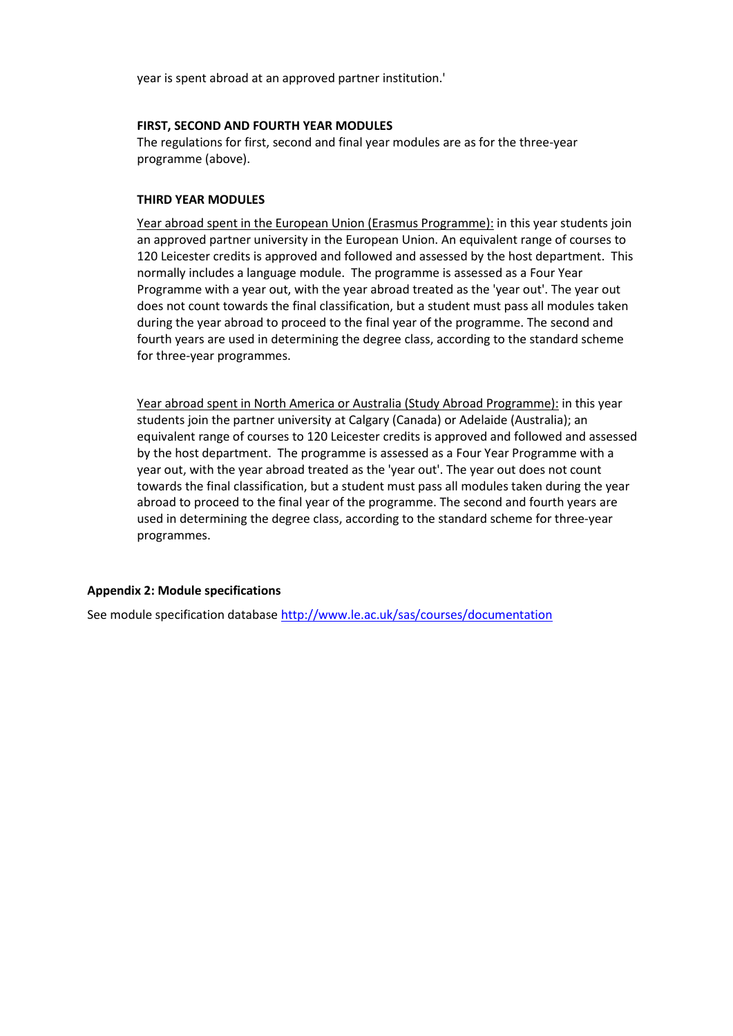year is spent abroad at an approved partner institution.'

#### **FIRST, SECOND AND FOURTH YEAR MODULES**

The regulations for first, second and final year modules are as for the three-year programme (above).

#### **THIRD YEAR MODULES**

Year abroad spent in the European Union (Erasmus Programme): in this year students join an approved partner university in the European Union. An equivalent range of courses to 120 Leicester credits is approved and followed and assessed by the host department. This normally includes a language module. The programme is assessed as a Four Year Programme with a year out, with the year abroad treated as the 'year out'. The year out does not count towards the final classification, but a student must pass all modules taken during the year abroad to proceed to the final year of the programme. The second and fourth years are used in determining the degree class, according to the standard scheme for three-year programmes.

Year abroad spent in North America or Australia (Study Abroad Programme): in this year students join the partner university at Calgary (Canada) or Adelaide (Australia); an equivalent range of courses to 120 Leicester credits is approved and followed and assessed by the host department. The programme is assessed as a Four Year Programme with a year out, with the year abroad treated as the 'year out'. The year out does not count towards the final classification, but a student must pass all modules taken during the year abroad to proceed to the final year of the programme. The second and fourth years are used in determining the degree class, according to the standard scheme for three-year programmes.

#### **Appendix 2: Module specifications**

See module specification database <http://www.le.ac.uk/sas/courses/documentation>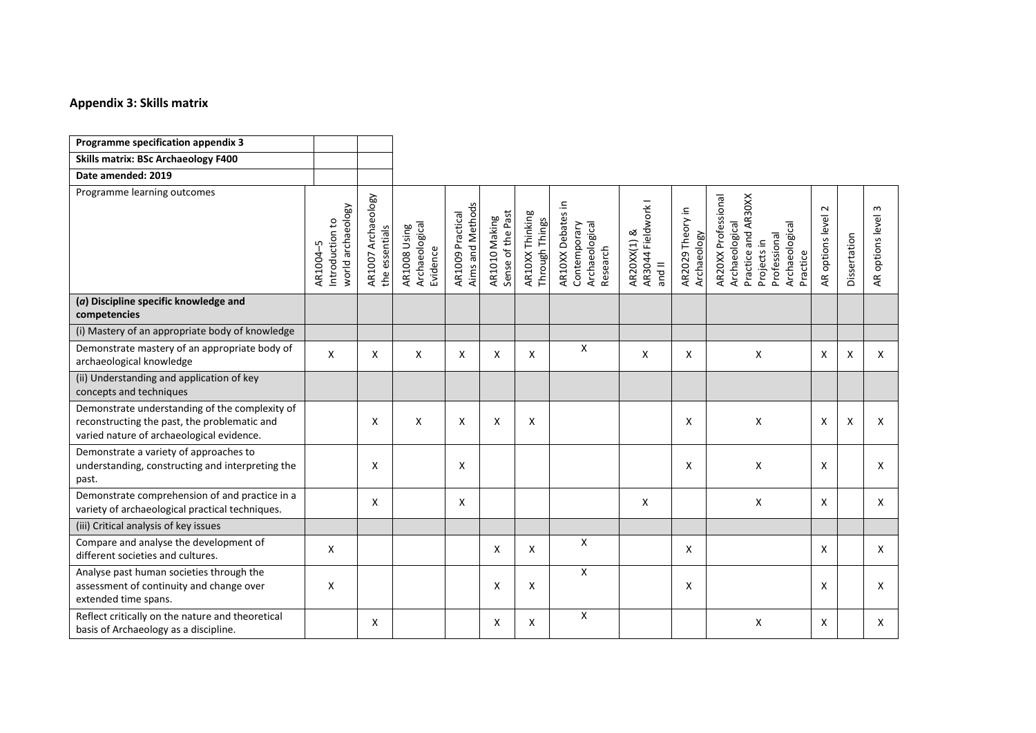#### **Appendix 3: Skills matrix**

| Programme specification appendix 3                                                                                                          |                                                  |                                      |                                            |                                         |                                    |                                   |                                                                 |                                             |                                 |                                                                                                                           |                            |              |                                  |
|---------------------------------------------------------------------------------------------------------------------------------------------|--------------------------------------------------|--------------------------------------|--------------------------------------------|-----------------------------------------|------------------------------------|-----------------------------------|-----------------------------------------------------------------|---------------------------------------------|---------------------------------|---------------------------------------------------------------------------------------------------------------------------|----------------------------|--------------|----------------------------------|
| <b>Skills matrix: BSc Archaeology F400</b>                                                                                                  |                                                  |                                      |                                            |                                         |                                    |                                   |                                                                 |                                             |                                 |                                                                                                                           |                            |              |                                  |
| Date amended: 2019                                                                                                                          |                                                  |                                      |                                            |                                         |                                    |                                   |                                                                 |                                             |                                 |                                                                                                                           |                            |              |                                  |
| Programme learning outcomes                                                                                                                 | world archaeology<br>Introduction to<br>AR1004-5 | AR1007 Archaeology<br>the essentials | Archaeological<br>Evidence<br>AR1008 Using | Aims and Methods<br>Practical<br>AR1009 | Sense of the Past<br>AR1010 Making | AR10XX Thinking<br>Through Things | AR10XX Debates in<br>Archaeological<br>Contemporary<br>Research | AR3044 Fieldwork I<br>AR20XX(1) &<br>and II | AR2029 Theory in<br>Archaeology | AR20XX Professional<br>Practice and AR30XX<br>Archaeological<br>Archaeological<br>Professional<br>Projects in<br>Practice | $\sim$<br>AR options level | Dissertation | $\mathsf{m}$<br>AR options level |
| (a) Discipline specific knowledge and<br>competencies                                                                                       |                                                  |                                      |                                            |                                         |                                    |                                   |                                                                 |                                             |                                 |                                                                                                                           |                            |              |                                  |
| (i) Mastery of an appropriate body of knowledge                                                                                             |                                                  |                                      |                                            |                                         |                                    |                                   |                                                                 |                                             |                                 |                                                                                                                           |                            |              |                                  |
| Demonstrate mastery of an appropriate body of<br>archaeological knowledge                                                                   | X                                                | X                                    | X                                          | X                                       | X                                  | X                                 | X                                                               | X                                           | X                               | X                                                                                                                         | X                          | X            | X                                |
| (ii) Understanding and application of key<br>concepts and techniques                                                                        |                                                  |                                      |                                            |                                         |                                    |                                   |                                                                 |                                             |                                 |                                                                                                                           |                            |              |                                  |
| Demonstrate understanding of the complexity of<br>reconstructing the past, the problematic and<br>varied nature of archaeological evidence. |                                                  | X                                    | X                                          | X                                       | X                                  | X                                 |                                                                 |                                             | X                               | X                                                                                                                         | X                          | X            | X                                |
| Demonstrate a variety of approaches to<br>understanding, constructing and interpreting the<br>past.                                         |                                                  | X                                    |                                            | X                                       |                                    |                                   |                                                                 |                                             | X                               | X                                                                                                                         | X                          |              | X                                |
| Demonstrate comprehension of and practice in a<br>variety of archaeological practical techniques.                                           |                                                  | X                                    |                                            | X                                       |                                    |                                   |                                                                 | X                                           |                                 | X                                                                                                                         | X                          |              | X                                |
| (iii) Critical analysis of key issues                                                                                                       |                                                  |                                      |                                            |                                         |                                    |                                   |                                                                 |                                             |                                 |                                                                                                                           |                            |              |                                  |
| Compare and analyse the development of<br>different societies and cultures.                                                                 | $\mathsf{x}$                                     |                                      |                                            |                                         | X                                  | X                                 | X                                                               |                                             | X                               |                                                                                                                           | X                          |              | X                                |
| Analyse past human societies through the<br>assessment of continuity and change over<br>extended time spans.                                | $\mathsf{x}$                                     |                                      |                                            |                                         | X                                  | X                                 | $\mathsf{x}$                                                    |                                             | X                               |                                                                                                                           | X                          |              | X                                |
| Reflect critically on the nature and theoretical<br>basis of Archaeology as a discipline.                                                   |                                                  | X                                    |                                            |                                         | X                                  | X                                 | X                                                               |                                             |                                 | X                                                                                                                         | X                          |              | X                                |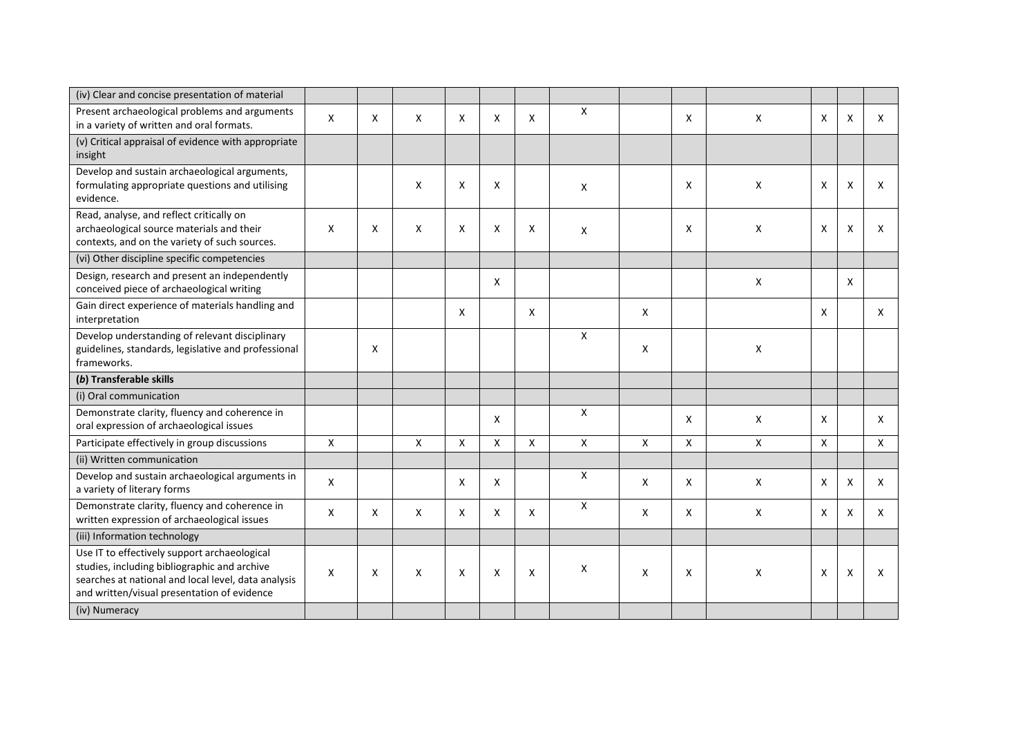| (iv) Clear and concise presentation of material                                                                                                                                                    |              |   |                    |              |                    |   |                |   |   |   |   |              |   |
|----------------------------------------------------------------------------------------------------------------------------------------------------------------------------------------------------|--------------|---|--------------------|--------------|--------------------|---|----------------|---|---|---|---|--------------|---|
| Present archaeological problems and arguments<br>in a variety of written and oral formats.                                                                                                         | X            | X | X                  | X            | X                  | X | X              |   | X | X | X | $\mathsf{x}$ | X |
| (v) Critical appraisal of evidence with appropriate<br>insight                                                                                                                                     |              |   |                    |              |                    |   |                |   |   |   |   |              |   |
| Develop and sustain archaeological arguments,<br>formulating appropriate questions and utilising<br>evidence.                                                                                      |              |   | X                  | X            | X                  |   | X              |   | X | X | X | X            | X |
| Read, analyse, and reflect critically on<br>archaeological source materials and their<br>contexts, and on the variety of such sources.                                                             | X            | X | X                  | X            | X                  | X | Χ              |   | X | X | X | X            | X |
| (vi) Other discipline specific competencies                                                                                                                                                        |              |   |                    |              |                    |   |                |   |   |   |   |              |   |
| Design, research and present an independently<br>conceived piece of archaeological writing                                                                                                         |              |   |                    |              | Χ                  |   |                |   |   | X |   | X            |   |
| Gain direct experience of materials handling and<br>interpretation                                                                                                                                 |              |   |                    | X            |                    | X |                | X |   |   | X |              | X |
| Develop understanding of relevant disciplinary<br>guidelines, standards, legislative and professional<br>frameworks.                                                                               |              | X |                    |              |                    |   | X              | X |   | X |   |              |   |
| (b) Transferable skills                                                                                                                                                                            |              |   |                    |              |                    |   |                |   |   |   |   |              |   |
| (i) Oral communication                                                                                                                                                                             |              |   |                    |              |                    |   |                |   |   |   |   |              |   |
| Demonstrate clarity, fluency and coherence in<br>oral expression of archaeological issues                                                                                                          |              |   |                    |              | X                  |   | X              |   | X | X | Χ |              | X |
| Participate effectively in group discussions                                                                                                                                                       | X            |   | $\pmb{\mathsf{X}}$ | $\mathsf{x}$ | $\pmb{\mathsf{X}}$ | X | $\pmb{\times}$ | X | Χ | X | X |              | X |
| (ii) Written communication                                                                                                                                                                         |              |   |                    |              |                    |   |                |   |   |   |   |              |   |
| Develop and sustain archaeological arguments in<br>a variety of literary forms                                                                                                                     | X            |   |                    | X            | X                  |   | X              | X | X | X | X | X            | X |
| Demonstrate clarity, fluency and coherence in<br>written expression of archaeological issues                                                                                                       | $\mathsf{x}$ | X | X                  | X            | X                  | X | X              | X | X | X | X | X            | X |
| (iii) Information technology                                                                                                                                                                       |              |   |                    |              |                    |   |                |   |   |   |   |              |   |
| Use IT to effectively support archaeological<br>studies, including bibliographic and archive<br>searches at national and local level, data analysis<br>and written/visual presentation of evidence | X            | X | X                  | X            | X                  | X | X              | X | X | X | X | X            | X |
| (iv) Numeracy                                                                                                                                                                                      |              |   |                    |              |                    |   |                |   |   |   |   |              |   |